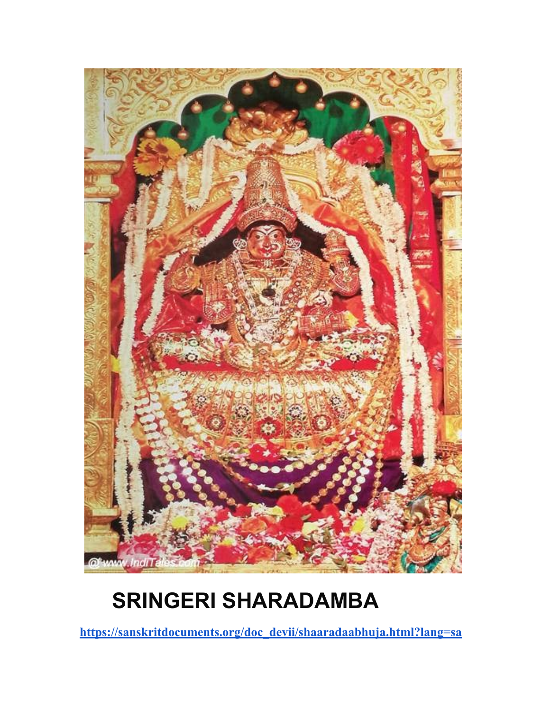

## **SRINGERI SHARADAMBA**

**[https://sanskritdocuments.org/doc\\_devii/shaaradaabhuja.html?lang=sa](https://sanskritdocuments.org/doc_devii/shaaradaabhuja.html?lang=sa)**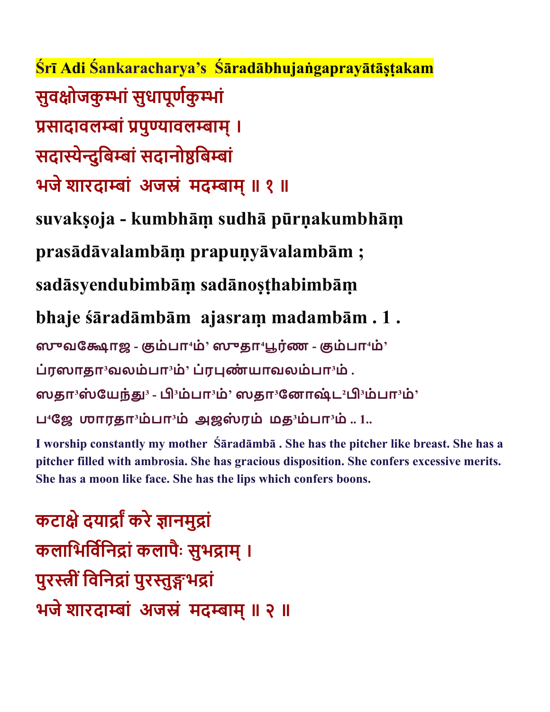Śrī Adi Śankaracharya's Śāradābhujaṅgaprayātāşṭakam **सुवोजकुां सुधापूणकुां सादावलां पुावलाम् । सदाेदुिबां सदानोिबां भजे शारदाां अजं मदाम् ॥ १ ॥**

**suvakṣoja - kumbhāṃ sudhā pūrṇakumbhāṃ** 

**prasādāvalambāṃ prapuṇyāvalambām ;** 

**sadāsyendubimbāṃ sadānoṣṭhabimbāṃ** 

**bhaje śāradāmbām ajasraṃ madambām . 1 .** 

**ஸவோஜ - ம்பா⁴ம்' ஸதா⁴ரண் - ம்பா⁴ம்'**

**ப்ரஸாதா³வலம்பா³ம்' ப்ரண் யாவலம்பா³ம் .**

**ஸதா³ஸ் ேயந்³ - ³ம்பா³ம்' ஸதா³ேனாஷ்ட²³ம்பா³ம்'**

**ப⁴ேஜ ஶாரதா³ம்பா³ம் அஜஸ் ரம் மத³ம்பா³ம் .. 1..**

**I worship constantly my mother Śāradāmbā . She has the pitcher like breast. She has a pitcher filled with ambrosia. She has gracious disposition. She confers excessive merits. She has a moon like face. She has the lips which confers boons.**

**कटाे दयाा करे ानमुां कलािभिविनां कलापै ः सुभाम् । पुरी ंिविनां पुरुभां भजे शारदाां अजं मदाम् ॥ २ ॥**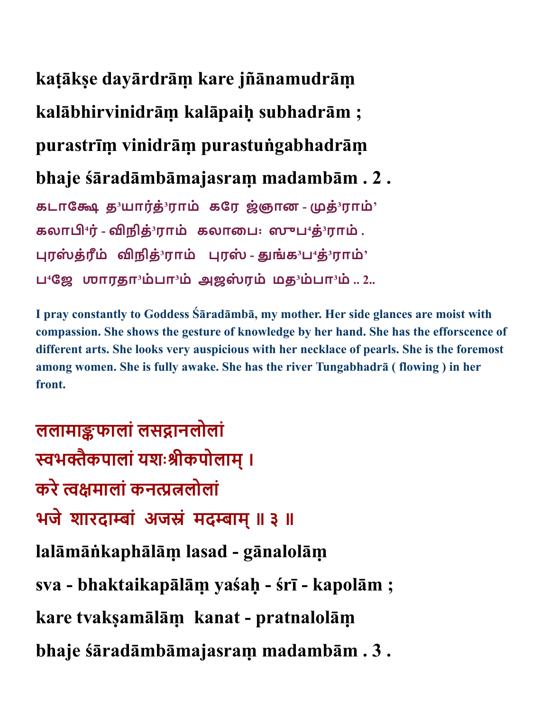## **kaṭākṣe dayārdrāṃ kare jñānamudrāṃ**

**kalābhirvinidrāṃ kalāpaiḥ subhadrām ;** 

**purastrīṃ vinidrāṃ purastuṅgabhadrāṃ** 

## **bhaje śāradāmbāmajasraṃ madambām . 2 .**

**கடாே த³யாரத் ்³ராம் கேர ஜ்ஞான - த்³ராம்' கலா⁴ர்- நித்³ராம் கலாைப꞉ ஸப⁴த்³ராம் . ரஸ் த்ரமீ ் நித்³ராம் ரஸ் - ங்க³ப⁴த்³ராம்'**  $\mathbf{L} \cdot \mathbf{G} = \mathbf{G} \cdot \mathbf{D} \cdot \mathbf{D}$ 

**I pray constantly to Goddess Śāradāmbā, my mother. Her side glances are moist with compassion. She shows the gesture of knowledge by her hand. She has the efforscence of different arts. She looks very auspicious with her necklace of pearls. She is the foremost among women. She is fully awake. She has the river Tungabhadrā ( flowing ) in her front.**

**ललामाफालां लसानलोलां भैकपालां यशःीकपोलाम् । करे मालां कनलोलां भजे शारदाां अजं मदाम् ॥ ३ ॥ lalāmāṅkaphālāṃ lasad - gānalolāṃ sva - bhaktaikapālāṃ yaśaḥ - śrī - kapolām ; kare tvakṣamālāṃ kanat - pratnalolāṃ bhaje śāradāmbāmajasraṃ madambām . 3 .**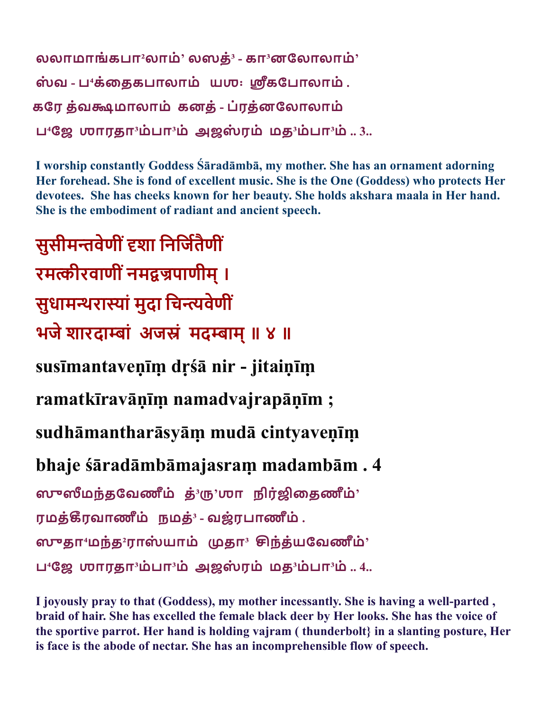```
லலாமாங்கபா²லாம்' லஸத்³ - கா³னேலாலாம்'
ஸ் வ - ப⁴க்ைதகபாலாம் யஶ꞉ கேபாலாம் .
கேர த்வமாலாம் கனத்- ப்ரத்னேலாலாம்
\mathbf{L}^4ஜே ஶாரதா^3ம்பா^3ம் அஜஸ்ரம் மத^3ம்பா^3ம் .. 3..
```
**I worship constantly Goddess Śāradāmbā, my mother. She has an ornament adorning Her forehead. She is fond of excellent music. She is the One (Goddess) who protects Her devotees. She has cheeks known for her beauty. She holds akshara maala in Her hand. She is the embodiment of radiant and ancient speech.**

**सुसीमवेणी ंशा िनिजतैणीं रमीरवाणी ंनमपाणीम् । सुधामराां मुदा िचवेणीं भजे शारदाां अजं मदाम् ॥ ४ ॥ susīmantaveṇīṃ dṛśā nir - jitaiṇīṃ ramatkīravāṇīṃ namadvajrapāṇīm ; sudhāmantharāsyāṃ mudā cintyaveṇīṃ bhaje śāradāmbāmajasraṃ madambām . 4 ஸமந்தேவணமீ ் த்³'ஶா நிர் ைதணமீ ்' ரமத்ரவாணமீ ் நமத்³ - வஜ்ரபாணமீ ் . ஸதா⁴மந்த²ராஸ் யாம் தா³ ந்த்யேவணமீ ்' ப⁴ேஜ ஶாரதா³ம்பா³ம் அஜஸ் ரம் மத³ம்பா³ம் .. 4..**

**I joyously pray to that (Goddess), my mother incessantly. She is having a well-parted , braid of hair. She has excelled the female black deer by Her looks. She has the voice of the sportive parrot. Her hand is holding vajram ( thunderbolt} in a slanting posture, Her is face is the abode of nectar. She has an incomprehensible flow of speech.**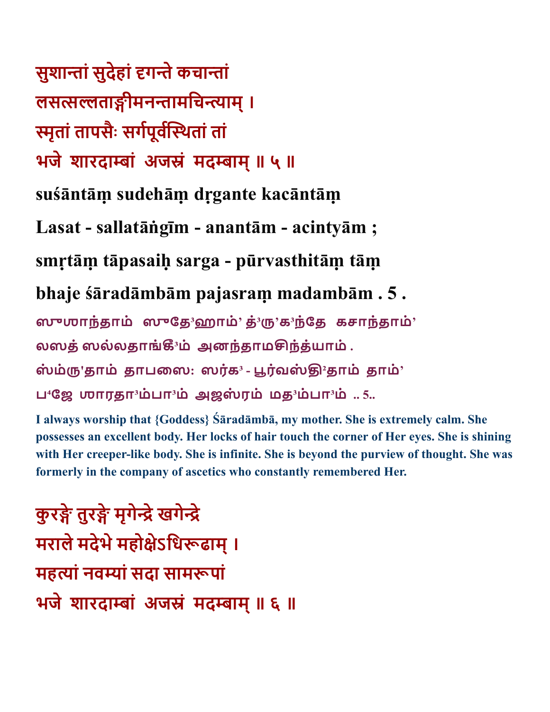**सुशाां सुदेहां गे कचाां लसताीमनामिचाम् । ृतां तापसै ः सगपूवथतां तां भजे शारदाां अजं मदाम् ॥ ५ ॥ suśāntāṃ sudehāṃ dṛgante kacāntāṃ Lasat - sallatāṅgīm - anantām - acintyām ; smṛtāṃ tāpasaiḥ sarga - pūrvasthitāṃ tāṃ bhaje śāradāmbām pajasraṃ madambām . 5 . ஸஶாந்தாம் ஸேத³ஹாம்' த்³'க³ந்ேத கசாந்தாம்' லஸத்ஸல்லதாங்³ம் அனந்தாமந்த்யாம் . ஸ் ம்'தாம் தாபைஸ: ஸரக் ³ - ரவ் ஸ் ²தாம் தாம்'**  $L$ <sup>4</sup> தே மாரதா்ம்பா்ம் அஜஸ்ரம் மத்்ம்பா்ம் .. 5..

**I always worship that {Goddess} Śāradāmbā, my mother. She is extremely calm. She possesses an excellent body. Her locks of hair touch the corner of Her eyes. She is shining with Her creeper-like body. She is infinite. She is beyond the purview of thought. She was formerly in the company of ascetics who constantly remembered Her.**

**कुरे तुरे मृगेे खगेे मराले मदेभे महोेऽिधढाम् । महां नवां सदा सामपां भजे शारदाां अजं मदाम् ॥ ६ ॥**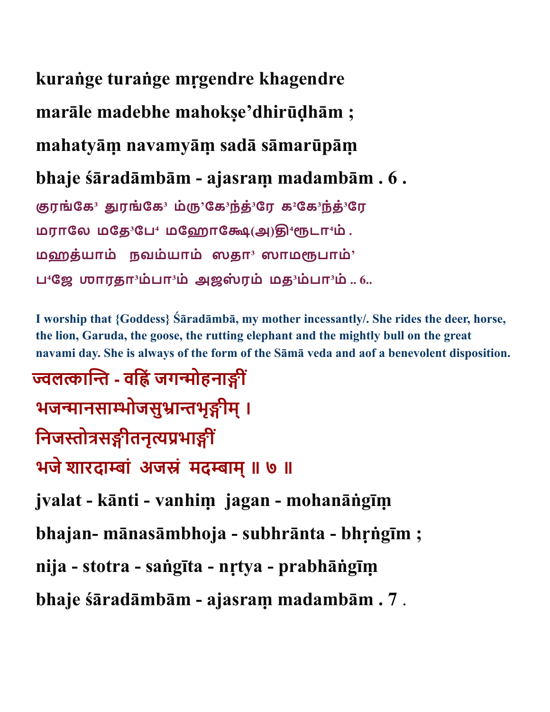**kuraṅge turaṅge mṛgendre khagendre** 

**marāle madebhe mahokṣe'dhirūḍhām ;** 

**mahatyāṃ navamyāṃ sadā sāmarūpāṃ** 

**bhaje śāradāmbām - ajasraṃ madambām . 6 .** 

**ரங்ேக³ ரங்ேக³ ம்'ேக³ந்த்³ேர க²ேக³ந்த்³ேர மராேல மேத³ேப⁴ மேஹாே(அ)⁴டா⁴ம் . மஹத்யாம் நவம்யாம் ஸதா³ ஸாமபாம்' ப⁴ேஜ ஶாரதா³ம்பா³ம் அஜஸ் ரம் மத³ம்பா³ம் .. 6..**

**I worship that {Goddess} Śāradāmbā, my mother incessantly/. She rides the deer, horse, the lion, Garuda, the goose, the rutting elephant and the mightly bull on the great navami day. She is always of the form of the Sāmā veda and aof a benevolent disposition.**

**ला - विं जगोहनाीं भजानसाोजसुाभृीम् । िनजोसीतनृभाीं भजे शारदाां अजं मदाम् ॥ ७ ॥ jvalat - kānti - vanhiṃ jagan - mohanāṅgīṃ bhajan- mānasāmbhoja - subhrānta - bhṛṅgīm ; nija - stotra - saṅgīta - nṛtya - prabhāṅgīṃ bhaje śāradāmbām - ajasraṃ madambām . 7** .